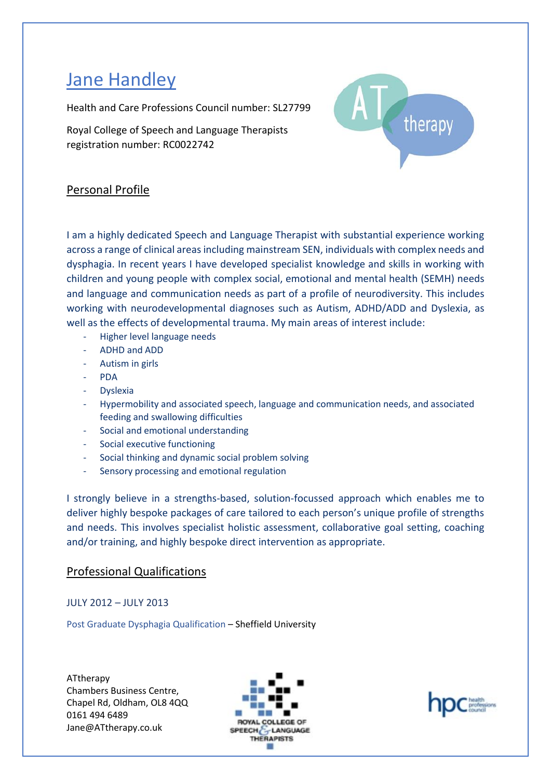# Jane Handley

Health and Care Professions Council number: SL27799

Royal College of Speech and Language Therapists registration number: RC0022742



# Personal Profile

I am a highly dedicated Speech and Language Therapist with substantial experience working across a range of clinical areas including mainstream SEN, individuals with complex needs and dysphagia. In recent years I have developed specialist knowledge and skills in working with children and young people with complex social, emotional and mental health (SEMH) needs and language and communication needs as part of a profile of neurodiversity. This includes working with neurodevelopmental diagnoses such as Autism, ADHD/ADD and Dyslexia, as well as the effects of developmental trauma. My main areas of interest include:

- Higher level language needs
- ADHD and ADD
- Autism in girls
- PDA
- **Dyslexia**
- Hypermobility and associated speech, language and communication needs, and associated feeding and swallowing difficulties
- Social and emotional understanding
- Social executive functioning
- Social thinking and dynamic social problem solving
- Sensory processing and emotional regulation

I strongly believe in a strengths-based, solution-focussed approach which enables me to deliver highly bespoke packages of care tailored to each person's unique profile of strengths and needs. This involves specialist holistic assessment, collaborative goal setting, coaching and/or training, and highly bespoke direct intervention as appropriate.

# Professional Qualifications

## JULY 2012 – JULY 2013

Post Graduate Dysphagia Qualification – Sheffield University



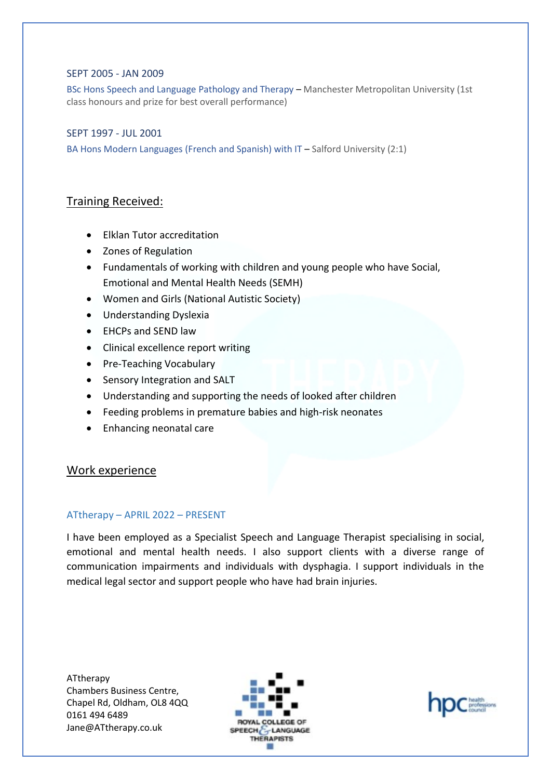#### SEPT 2005 - JAN 2009

BSc Hons Speech and Language Pathology and Therapy – Manchester Metropolitan University (1st class honours and prize for best overall performance)

#### SEPT 1997 - JUL 2001

BA Hons Modern Languages (French and Spanish) with IT – Salford University (2:1)

### Training Received:

- Elklan Tutor accreditation
- Zones of Regulation
- Fundamentals of working with children and young people who have Social, Emotional and Mental Health Needs (SEMH)
- Women and Girls (National Autistic Society)
- Understanding Dyslexia
- EHCPs and SEND law
- Clinical excellence report writing
- Pre-Teaching Vocabulary
- Sensory Integration and SALT
- Understanding and supporting the needs of looked after children
- Feeding problems in premature babies and high-risk neonates
- Enhancing neonatal care

### Work experience

#### ATtherapy – APRIL 2022 – PRESENT

I have been employed as a Specialist Speech and Language Therapist specialising in social, emotional and mental health needs. I also support clients with a diverse range of communication impairments and individuals with dysphagia. I support individuals in the medical legal sector and support people who have had brain injuries.



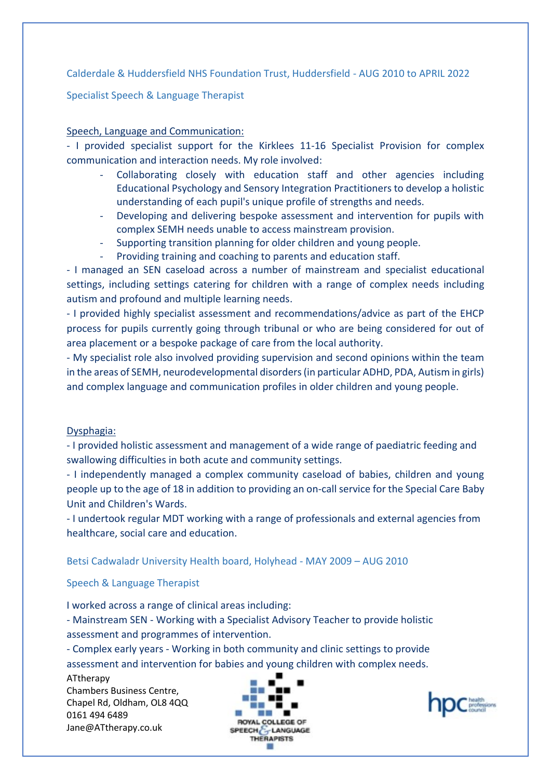Calderdale & Huddersfield NHS Foundation Trust, Huddersfield - AUG 2010 to APRIL 2022

Specialist Speech & Language Therapist

### Speech, Language and Communication:

- I provided specialist support for the Kirklees 11-16 Specialist Provision for complex communication and interaction needs. My role involved:

- Collaborating closely with education staff and other agencies including Educational Psychology and Sensory Integration Practitioners to develop a holistic understanding of each pupil's unique profile of strengths and needs.
- Developing and delivering bespoke assessment and intervention for pupils with complex SEMH needs unable to access mainstream provision.
- Supporting transition planning for older children and young people.
- Providing training and coaching to parents and education staff.

- I managed an SEN caseload across a number of mainstream and specialist educational settings, including settings catering for children with a range of complex needs including autism and profound and multiple learning needs.

- I provided highly specialist assessment and recommendations/advice as part of the EHCP process for pupils currently going through tribunal or who are being considered for out of area placement or a bespoke package of care from the local authority.

- My specialist role also involved providing supervision and second opinions within the team in the areas of SEMH, neurodevelopmental disorders (in particular ADHD, PDA, Autism in girls) and complex language and communication profiles in older children and young people.

### Dysphagia:

- I provided holistic assessment and management of a wide range of paediatric feeding and swallowing difficulties in both acute and community settings.

- I independently managed a complex community caseload of babies, children and young people up to the age of 18 in addition to providing an on-call service for the Special Care Baby Unit and Children's Wards.

- I undertook regular MDT working with a range of professionals and external agencies from healthcare, social care and education.

Betsi Cadwaladr University Health board, Holyhead - MAY 2009 – AUG 2010

Speech & Language Therapist

I worked across a range of clinical areas including:

- Mainstream SEN - Working with a Specialist Advisory Teacher to provide holistic assessment and programmes of intervention.

- Complex early years - Working in both community and clinic settings to provide assessment and intervention for babies and young children with complex needs.